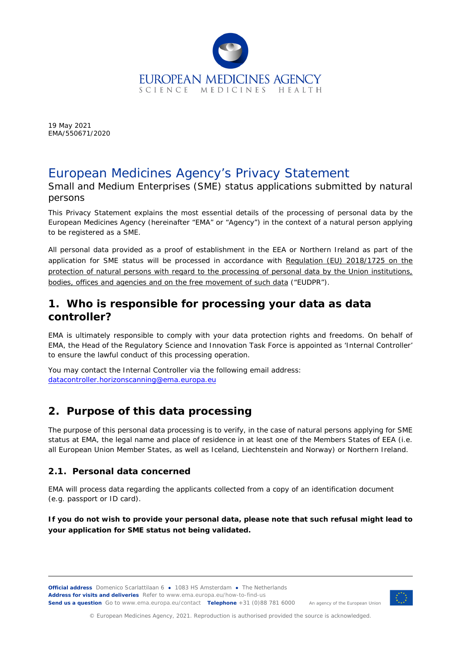

19 May 2021 EMA/550671/2020

# European Medicines Agency's Privacy Statement

Small and Medium Enterprises (SME) status applications submitted by natural persons

This Privacy Statement explains the most essential details of the processing of personal data by the European Medicines Agency (hereinafter "EMA" or "Agency") in the context of a natural person applying to be registered as a SME.

All personal data provided as a proof of establishment in the EEA or Northern Ireland as part of the application for SME status will be processed in accordance with *Regulation (EU) 2018/1725 on the protection of natural persons with regard to the processing of personal data by the Union institutions, bodies, offices and agencies and on the free movement of such data* ("EUDPR").

### **1. Who is responsible for processing your data as data controller?**

EMA is ultimately responsible to comply with your data protection rights and freedoms. On behalf of EMA, the Head of the Regulatory Science and Innovation Task Force is appointed as 'Internal Controller' to ensure the lawful conduct of this processing operation.

You may contact the Internal Controller via the following email address: [datacontroller.horizonscanning@ema.europa.eu](mailto:datacontroller.horizonscanning@ema.europa.eu)

## **2. Purpose of this data processing**

The purpose of this personal data processing is to verify, in the case of natural persons applying for SME status at EMA, the legal name and place of residence in at least one of the Members States of EEA (i.e. all European Union Member States, as well as Iceland, Liechtenstein and Norway) or Northern Ireland.

#### *2.1. Personal data concerned*

EMA will process data regarding the applicants collected from a copy of an identification document (e.g. passport or ID card).

**If you do not wish to provide your personal data, please note that such refusal might lead to your application for SME status not being validated.** 

**Official address** Domenico Scarlattilaan 6 **●** 1083 HS Amsterdam **●** The Netherlands **Address for visits and deliveries** Refer to www.ema.europa.eu/how-to-find-us **Send us a question** Go to www.ema.europa.eu/contact **Telephone** +31 (0)88 781 6000 An agency of the European Union



© European Medicines Agency, 2021. Reproduction is authorised provided the source is acknowledged.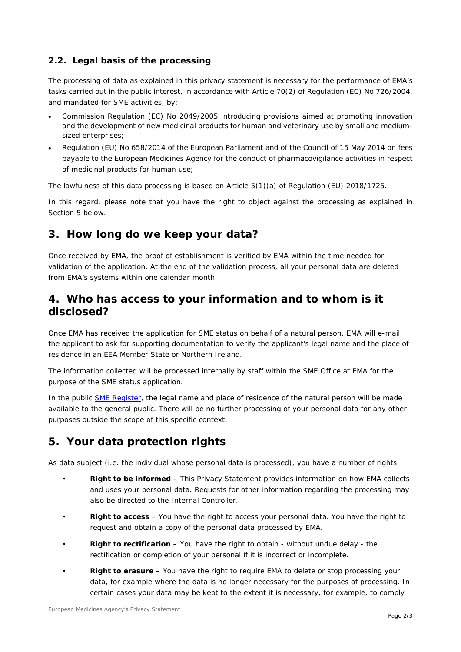#### *2.2. Legal basis of the processing*

The processing of data as explained in this privacy statement is necessary for the performance of EMA's tasks carried out in the public interest, in accordance with Article 70(2) of Regulation (EC) No 726/2004, and mandated for SME activities, by:

- Commission Regulation (EC) No 2049/2005 introducing provisions aimed at promoting innovation and the development of new medicinal products for human and veterinary use by small and mediumsized enterprises;
- Regulation (EU) No 658/2014 of the European Parliament and of the Council of 15 May 2014 on fees payable to the European Medicines Agency for the conduct of pharmacovigilance activities in respect of medicinal products for human use;

The lawfulness of this data processing is based on Article 5(1)(a) of Regulation (EU) 2018/1725.

In this regard, please note that you have the right to object against the processing as explained in Section 5 below.

## **3. How long do we keep your data?**

Once received by EMA, the proof of establishment is verified by EMA within the time needed for validation of the application. At the end of the validation process, all your personal data are deleted from EMA's systems within one calendar month.

### **4. Who has access to your information and to whom is it disclosed?**

Once EMA has received the application for SME status on behalf of a natural person, EMA will e-mail the applicant to ask for supporting documentation to verify the applicant's legal name and the place of residence in an EEA Member State or Northern Ireland.

The information collected will be processed internally by staff within the SME Office at EMA for the purpose of the SME status application.

In the public **SME Register**, the legal name and place of residence of the natural person will be made available to the general public. There will be no further processing of your personal data for any other purposes outside the scope of this specific context.

## **5. Your data protection rights**

As data subject (i.e. the individual whose personal data is processed), you have a number of rights:

- **Right to be informed** This Privacy Statement provides information on how EMA collects and uses your personal data. Requests for other information regarding the processing may also be directed to the Internal Controller.
- **Right to access**  You have the right to access your personal data. You have the right to request and obtain a copy of the personal data processed by EMA.
- **Right to rectification** You have the right to obtain without undue delay the rectification or completion of your personal if it is incorrect or incomplete.
- **Right to erasure** You have the right to require EMA to delete or stop processing your data, for example where the data is no longer necessary for the purposes of processing. In certain cases your data may be kept to the extent it is necessary, for example, to comply